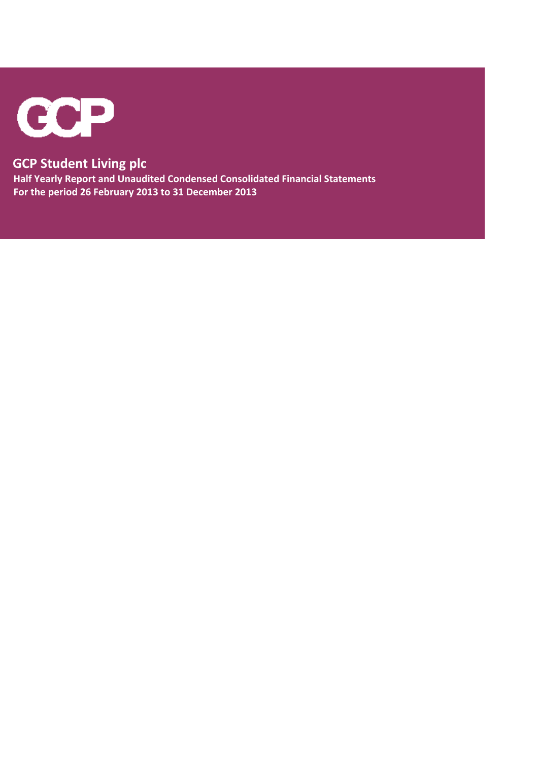

# **GCP Student Living plc**

 **Half Yearly Report and Unaudited Condensed Consolidated Financial Statements For the period 26 February 2013 to 31 December 2013**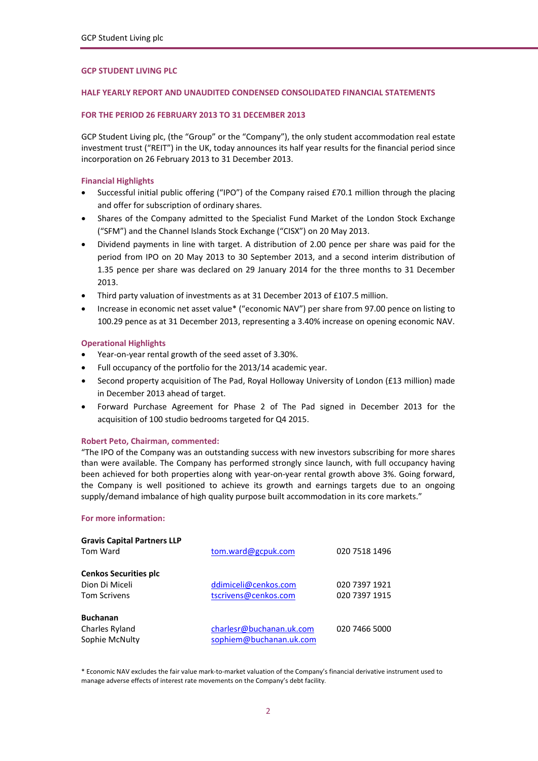### **GCP STUDENT LIVING PLC**

# **HALF YEARLY REPORT AND UNAUDITED CONDENSED CONSOLIDATED FINANCIAL STATEMENTS**

#### **FOR THE PERIOD 26 FEBRUARY 2013 TO 31 DECEMBER 2013**

GCP Student Living plc, (the "Group" or the "Company"), the only student accommodation real estate investment trust ("REIT") in the UK, today announces its half year results for the financial period since incorporation on 26 February 2013 to 31 December 2013.

#### **Financial Highlights**

- Successful initial public offering ("IPO") of the Company raised £70.1 million through the placing and offer for subscription of ordinary shares.
- Shares of the Company admitted to the Specialist Fund Market of the London Stock Exchange ("SFM") and the Channel Islands Stock Exchange ("CISX") on 20 May 2013.
- Dividend payments in line with target. A distribution of 2.00 pence per share was paid for the period from IPO on 20 May 2013 to 30 September 2013, and a second interim distribution of 1.35 pence per share was declared on 29 January 2014 for the three months to 31 December 2013.
- Third party valuation of investments as at 31 December 2013 of £107.5 million.
- Increase in economic net asset value\* ("economic NAV") per share from 97.00 pence on listing to 100.29 pence as at 31 December 2013, representing a 3.40% increase on opening economic NAV.

### **Operational Highlights**

- Year-on-year rental growth of the seed asset of 3.30%.
- Full occupancy of the portfolio for the 2013/14 academic year.
- Second property acquisition of The Pad, Royal Holloway University of London (£13 million) made in December 2013 ahead of target.
- Forward Purchase Agreement for Phase 2 of The Pad signed in December 2013 for the acquisition of 100 studio bedrooms targeted for Q4 2015.

#### **Robert Peto, Chairman, commented:**

"The IPO of the Company was an outstanding success with new investors subscribing for more shares than were available. The Company has performed strongly since launch, with full occupancy having been achieved for both properties along with year-on-year rental growth above 3%. Going forward, the Company is well positioned to achieve its growth and earnings targets due to an ongoing supply/demand imbalance of high quality purpose built accommodation in its core markets."

# **For more information:**

| <b>Gravis Capital Partners LLP</b> |                          |               |
|------------------------------------|--------------------------|---------------|
| Tom Ward                           | tom.ward@gcpuk.com       | 020 7518 1496 |
| <b>Cenkos Securities plc</b>       |                          |               |
| Dion Di Miceli                     | ddimiceli@cenkos.com     | 020 7397 1921 |
| <b>Tom Scrivens</b>                | tscrivens@cenkos.com     | 020 7397 1915 |
| <b>Buchanan</b>                    |                          |               |
| Charles Ryland                     | charlesr@buchanan.uk.com | 020 7466 5000 |
| Sophie McNulty                     | sophiem@buchanan.uk.com  |               |

\* Economic NAV excludes the fair value mark‐to‐market valuation of the Company's financial derivative instrument used to manage adverse effects of interest rate movements on the Company's debt facility.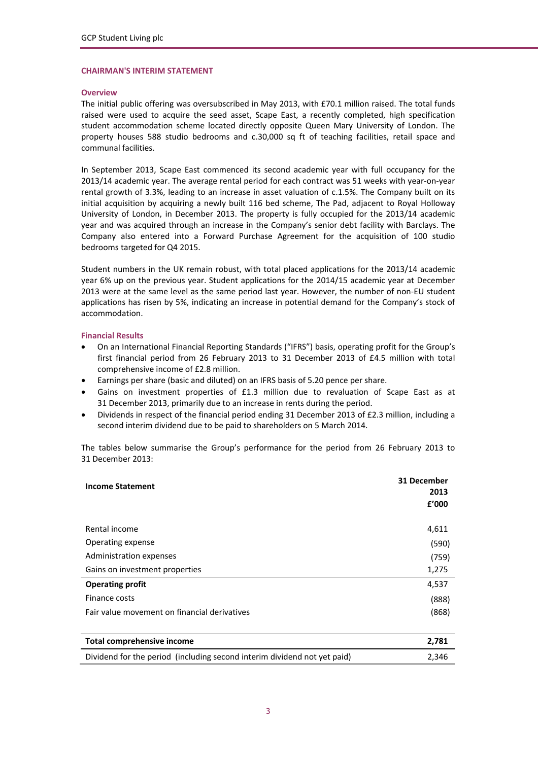#### **CHAIRMAN'S INTERIM STATEMENT**

# **Overview**

The initial public offering was oversubscribed in May 2013, with £70.1 million raised. The total funds raised were used to acquire the seed asset, Scape East, a recently completed, high specification student accommodation scheme located directly opposite Queen Mary University of London. The property houses 588 studio bedrooms and c.30,000 sq ft of teaching facilities, retail space and communal facilities.

In September 2013, Scape East commenced its second academic year with full occupancy for the 2013/14 academic year. The average rental period for each contract was 51 weeks with year‐on‐year rental growth of 3.3%, leading to an increase in asset valuation of c.1.5%. The Company built on its initial acquisition by acquiring a newly built 116 bed scheme, The Pad, adjacent to Royal Holloway University of London, in December 2013. The property is fully occupied for the 2013/14 academic year and was acquired through an increase in the Company's senior debt facility with Barclays. The Company also entered into a Forward Purchase Agreement for the acquisition of 100 studio bedrooms targeted for Q4 2015.

Student numbers in the UK remain robust, with total placed applications for the 2013/14 academic year 6% up on the previous year. Student applications for the 2014/15 academic year at December 2013 were at the same level as the same period last year. However, the number of non-EU student applications has risen by 5%, indicating an increase in potential demand for the Company's stock of accommodation.

### **Financial Results**

- On an International Financial Reporting Standards ("IFRS") basis, operating profit for the Group's first financial period from 26 February 2013 to 31 December 2013 of £4.5 million with total comprehensive income of £2.8 million.
- Earnings per share (basic and diluted) on an IFRS basis of 5.20 pence per share.
- Gains on investment properties of £1.3 million due to revaluation of Scape East as at 31 December 2013, primarily due to an increase in rents during the period.
- Dividends in respect of the financial period ending 31 December 2013 of £2.3 million, including a second interim dividend due to be paid to shareholders on 5 March 2014.

The tables below summarise the Group's performance for the period from 26 February 2013 to 31 December 2013:

| <b>Income Statement</b>                      | 31 December<br>2013<br>£'000 |
|----------------------------------------------|------------------------------|
| Rental income                                | 4,611                        |
| Operating expense                            | (590)                        |
| Administration expenses                      | (759)                        |
| Gains on investment properties               | 1,275                        |
| <b>Operating profit</b>                      | 4,537                        |
| Finance costs                                | (888)                        |
| Fair value movement on financial derivatives | (868)                        |
| <b>Total comprehensive income</b>            | 2,781                        |

| Total comprenensive income                                               | 2.781 |
|--------------------------------------------------------------------------|-------|
| Dividend for the period (including second interim dividend not yet paid) | 2.346 |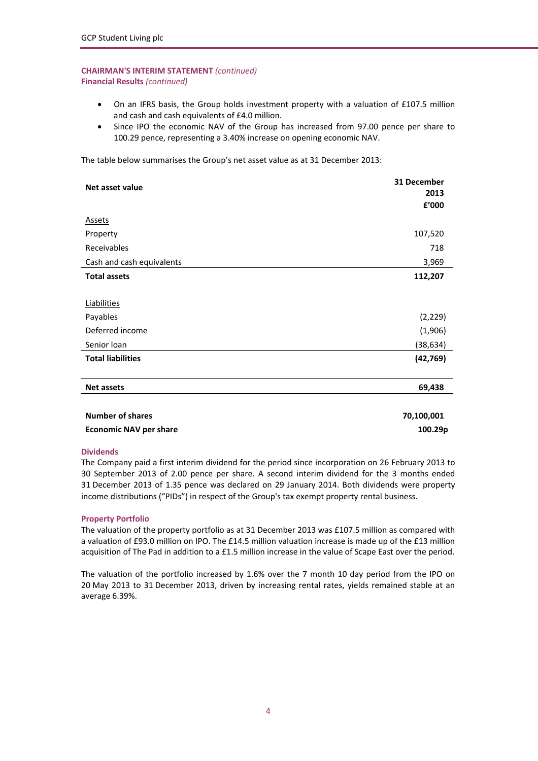# **CHAIRMAN'S INTERIM STATEMENT** *(continued)* **Financial Results** *(continued)*

- On an IFRS basis, the Group holds investment property with a valuation of £107.5 million and cash and cash equivalents of £4.0 million.
- Since IPO the economic NAV of the Group has increased from 97.00 pence per share to 100.29 pence, representing a 3.40% increase on opening economic NAV.

The table below summarises the Group's net asset value as at 31 December 2013:

| Net asset value               | 31 December<br>2013 |
|-------------------------------|---------------------|
|                               | £'000               |
| <b>Assets</b>                 |                     |
| Property                      | 107,520             |
| Receivables                   | 718                 |
| Cash and cash equivalents     | 3,969               |
| <b>Total assets</b>           | 112,207             |
|                               |                     |
| Liabilities                   |                     |
| Payables                      | (2, 229)            |
| Deferred income               | (1,906)             |
| Senior Ioan                   | (38, 634)           |
| <b>Total liabilities</b>      | (42, 769)           |
| <b>Net assets</b>             | 69,438              |
|                               |                     |
| <b>Number of shares</b>       | 70,100,001          |
| <b>Economic NAV per share</b> | 100.29p             |

#### **Dividends**

The Company paid a first interim dividend for the period since incorporation on 26 February 2013 to 30 September 2013 of 2.00 pence per share. A second interim dividend for the 3 months ended 31 December 2013 of 1.35 pence was declared on 29 January 2014. Both dividends were property income distributions ("PIDs") in respect of the Group's tax exempt property rental business.

# **Property Portfolio**

The valuation of the property portfolio as at 31 December 2013 was £107.5 million as compared with a valuation of £93.0 million on IPO. The £14.5 million valuation increase is made up of the £13 million acquisition of The Pad in addition to a £1.5 million increase in the value of Scape East over the period.

The valuation of the portfolio increased by 1.6% over the 7 month 10 day period from the IPO on 20 May 2013 to 31 December 2013, driven by increasing rental rates, yields remained stable at an average 6.39%.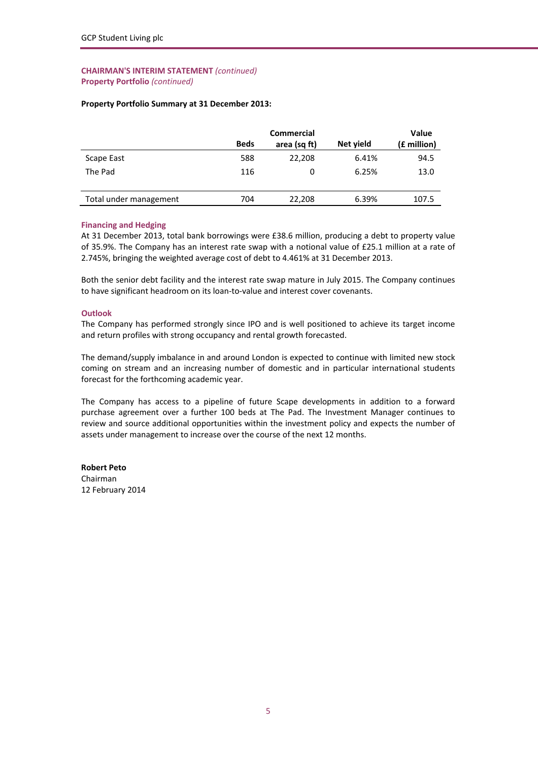### **CHAIRMAN'S INTERIM STATEMENT** *(continued)* **Property Portfolio** *(continued)*

# **Property Portfolio Summary at 31 December 2013:**

|                        | Commercial  |              |           | <b>Value</b> |  |
|------------------------|-------------|--------------|-----------|--------------|--|
|                        | <b>Beds</b> | area (sq ft) | Net yield | (£ million)  |  |
| Scape East             | 588         | 22,208       | 6.41%     | 94.5         |  |
| The Pad                | 116         | 0            | 6.25%     | 13.0         |  |
|                        |             |              |           |              |  |
| Total under management | 704         | 22,208       | 6.39%     | 107.5        |  |

# **Financing and Hedging**

At 31 December 2013, total bank borrowings were £38.6 million, producing a debt to property value of 35.9%. The Company has an interest rate swap with a notional value of £25.1 million at a rate of 2.745%, bringing the weighted average cost of debt to 4.461% at 31 December 2013.

Both the senior debt facility and the interest rate swap mature in July 2015. The Company continues to have significant headroom on its loan-to-value and interest cover covenants.

#### **Outlook**

The Company has performed strongly since IPO and is well positioned to achieve its target income and return profiles with strong occupancy and rental growth forecasted.

The demand/supply imbalance in and around London is expected to continue with limited new stock coming on stream and an increasing number of domestic and in particular international students forecast for the forthcoming academic year.

The Company has access to a pipeline of future Scape developments in addition to a forward purchase agreement over a further 100 beds at The Pad. The Investment Manager continues to review and source additional opportunities within the investment policy and expects the number of assets under management to increase over the course of the next 12 months.

**Robert Peto** Chairman 12 February 2014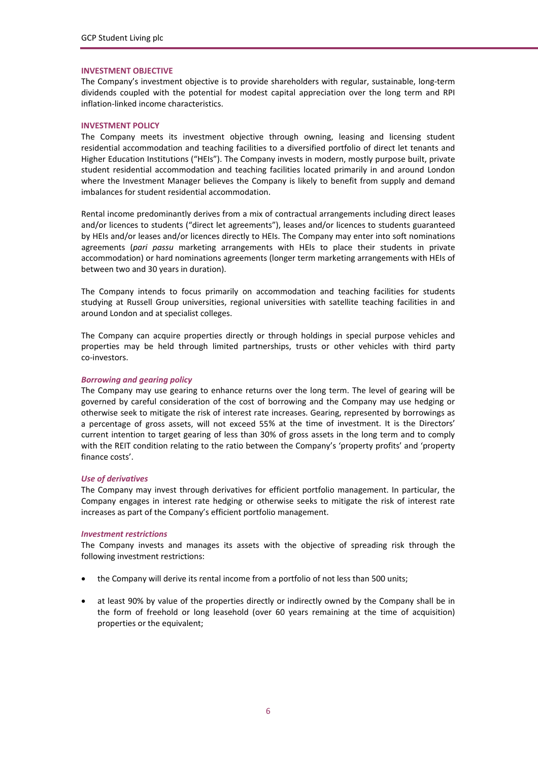#### **INVESTMENT OBJECTIVE**

The Company's investment objective is to provide shareholders with regular, sustainable, long‐term dividends coupled with the potential for modest capital appreciation over the long term and RPI inflation‐linked income characteristics.

#### **INVESTMENT POLICY**

The Company meets its investment objective through owning, leasing and licensing student residential accommodation and teaching facilities to a diversified portfolio of direct let tenants and Higher Education Institutions ("HEIs"). The Company invests in modern, mostly purpose built, private student residential accommodation and teaching facilities located primarily in and around London where the Investment Manager believes the Company is likely to benefit from supply and demand imbalances for student residential accommodation.

Rental income predominantly derives from a mix of contractual arrangements including direct leases and/or licences to students ("direct let agreements"), leases and/or licences to students guaranteed by HEIs and/or leases and/or licences directly to HEIs. The Company may enter into soft nominations agreements (*pari passu* marketing arrangements with HEIs to place their students in private accommodation) or hard nominations agreements (longer term marketing arrangements with HEIs of between two and 30 years in duration).

The Company intends to focus primarily on accommodation and teaching facilities for students studying at Russell Group universities, regional universities with satellite teaching facilities in and around London and at specialist colleges.

The Company can acquire properties directly or through holdings in special purpose vehicles and properties may be held through limited partnerships, trusts or other vehicles with third party co‐investors.

#### *Borrowing and gearing policy*

The Company may use gearing to enhance returns over the long term. The level of gearing will be governed by careful consideration of the cost of borrowing and the Company may use hedging or otherwise seek to mitigate the risk of interest rate increases. Gearing, represented by borrowings as a percentage of gross assets, will not exceed 55% at the time of investment. It is the Directors' current intention to target gearing of less than 30% of gross assets in the long term and to comply with the REIT condition relating to the ratio between the Company's 'property profits' and 'property finance costs'.

#### *Use of derivatives*

The Company may invest through derivatives for efficient portfolio management. In particular, the Company engages in interest rate hedging or otherwise seeks to mitigate the risk of interest rate increases as part of the Company's efficient portfolio management.

#### *Investment restrictions*

The Company invests and manages its assets with the objective of spreading risk through the following investment restrictions:

- the Company will derive its rental income from a portfolio of not less than 500 units;
- at least 90% by value of the properties directly or indirectly owned by the Company shall be in the form of freehold or long leasehold (over 60 years remaining at the time of acquisition) properties or the equivalent;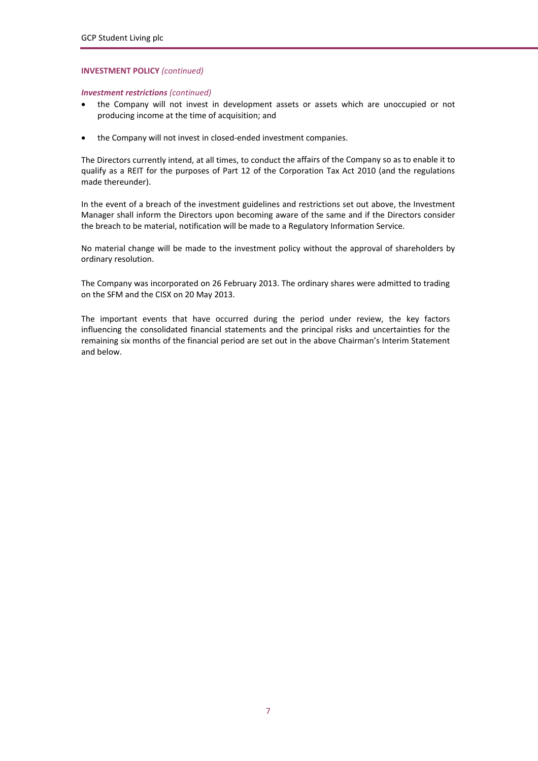### **INVESTMENT POLICY** *(continued)*

### *Investment restrictions (continued)*

- the Company will not invest in development assets or assets which are unoccupied or not producing income at the time of acquisition; and
- the Company will not invest in closed-ended investment companies.

The Directors currently intend, at all times, to conduct the affairs of the Company so as to enable it to qualify as a REIT for the purposes of Part 12 of the Corporation Tax Act 2010 (and the regulations made thereunder).

In the event of a breach of the investment guidelines and restrictions set out above, the Investment Manager shall inform the Directors upon becoming aware of the same and if the Directors consider the breach to be material, notification will be made to a Regulatory Information Service.

No material change will be made to the investment policy without the approval of shareholders by ordinary resolution.

The Company was incorporated on 26 February 2013. The ordinary shares were admitted to trading on the SFM and the CISX on 20 May 2013.

The important events that have occurred during the period under review, the key factors influencing the consolidated financial statements and the principal risks and uncertainties for the remaining six months of the financial period are set out in the above Chairman's Interim Statement and below.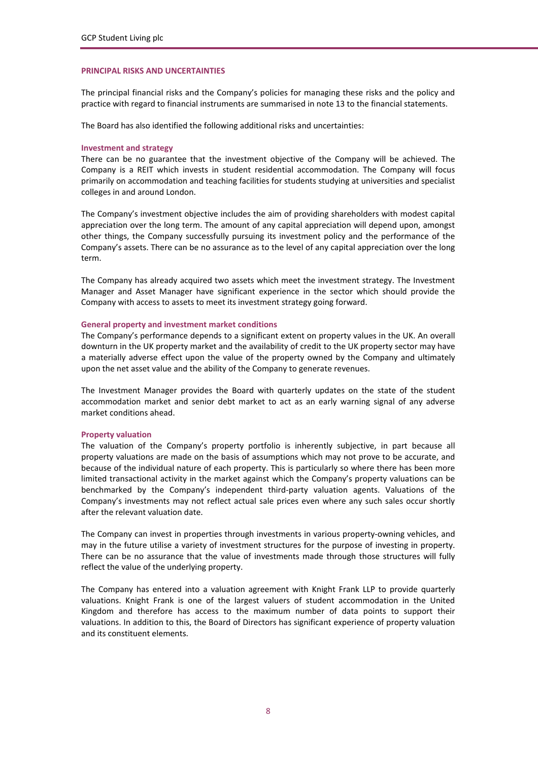#### **PRINCIPAL RISKS AND UNCERTAINTIES**

The principal financial risks and the Company's policies for managing these risks and the policy and practice with regard to financial instruments are summarised in note 13 to the financial statements.

The Board has also identified the following additional risks and uncertainties:

#### **Investment and strategy**

There can be no guarantee that the investment objective of the Company will be achieved. The Company is a REIT which invests in student residential accommodation. The Company will focus primarily on accommodation and teaching facilities for students studying at universities and specialist colleges in and around London.

The Company's investment objective includes the aim of providing shareholders with modest capital appreciation over the long term. The amount of any capital appreciation will depend upon, amongst other things, the Company successfully pursuing its investment policy and the performance of the Company's assets. There can be no assurance as to the level of any capital appreciation over the long term.

The Company has already acquired two assets which meet the investment strategy. The Investment Manager and Asset Manager have significant experience in the sector which should provide the Company with access to assets to meet its investment strategy going forward.

#### **General property and investment market conditions**

The Company's performance depends to a significant extent on property values in the UK. An overall downturn in the UK property market and the availability of credit to the UK property sector may have a materially adverse effect upon the value of the property owned by the Company and ultimately upon the net asset value and the ability of the Company to generate revenues.

The Investment Manager provides the Board with quarterly updates on the state of the student accommodation market and senior debt market to act as an early warning signal of any adverse market conditions ahead.

#### **Property valuation**

The valuation of the Company's property portfolio is inherently subjective, in part because all property valuations are made on the basis of assumptions which may not prove to be accurate, and because of the individual nature of each property. This is particularly so where there has been more limited transactional activity in the market against which the Company's property valuations can be benchmarked by the Company's independent third‐party valuation agents. Valuations of the Company's investments may not reflect actual sale prices even where any such sales occur shortly after the relevant valuation date.

The Company can invest in properties through investments in various property-owning vehicles, and may in the future utilise a variety of investment structures for the purpose of investing in property. There can be no assurance that the value of investments made through those structures will fully reflect the value of the underlying property.

The Company has entered into a valuation agreement with Knight Frank LLP to provide quarterly valuations. Knight Frank is one of the largest valuers of student accommodation in the United Kingdom and therefore has access to the maximum number of data points to support their valuations. In addition to this, the Board of Directors has significant experience of property valuation and its constituent elements.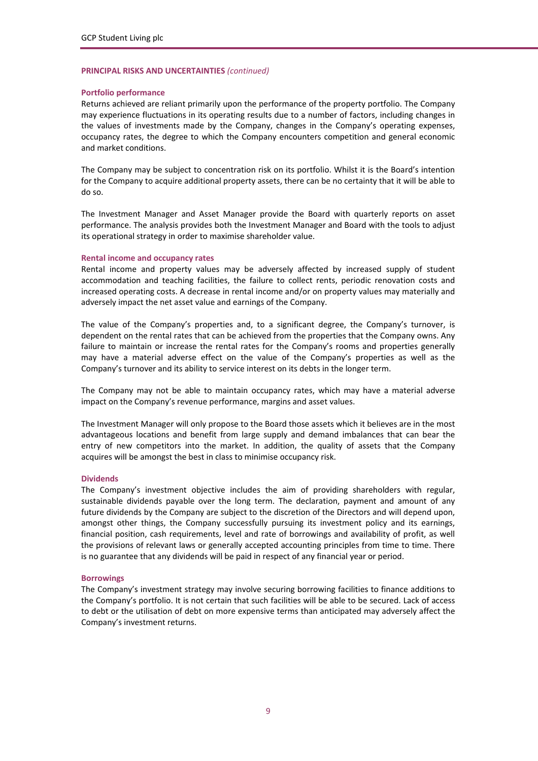#### **PRINCIPAL RISKS AND UNCERTAINTIES** *(continued)*

#### **Portfolio performance**

Returns achieved are reliant primarily upon the performance of the property portfolio. The Company may experience fluctuations in its operating results due to a number of factors, including changes in the values of investments made by the Company, changes in the Company's operating expenses, occupancy rates, the degree to which the Company encounters competition and general economic and market conditions.

The Company may be subject to concentration risk on its portfolio. Whilst it is the Board's intention for the Company to acquire additional property assets, there can be no certainty that it will be able to do so.

The Investment Manager and Asset Manager provide the Board with quarterly reports on asset performance. The analysis provides both the Investment Manager and Board with the tools to adjust its operational strategy in order to maximise shareholder value.

#### **Rental income and occupancy rates**

Rental income and property values may be adversely affected by increased supply of student accommodation and teaching facilities, the failure to collect rents, periodic renovation costs and increased operating costs. A decrease in rental income and/or on property values may materially and adversely impact the net asset value and earnings of the Company.

The value of the Company's properties and, to a significant degree, the Company's turnover, is dependent on the rental rates that can be achieved from the properties that the Company owns. Any failure to maintain or increase the rental rates for the Company's rooms and properties generally may have a material adverse effect on the value of the Company's properties as well as the Company's turnover and its ability to service interest on its debts in the longer term.

The Company may not be able to maintain occupancy rates, which may have a material adverse impact on the Company's revenue performance, margins and asset values.

The Investment Manager will only propose to the Board those assets which it believes are in the most advantageous locations and benefit from large supply and demand imbalances that can bear the entry of new competitors into the market. In addition, the quality of assets that the Company acquires will be amongst the best in class to minimise occupancy risk.

#### **Dividends**

The Company's investment objective includes the aim of providing shareholders with regular, sustainable dividends payable over the long term. The declaration, payment and amount of any future dividends by the Company are subject to the discretion of the Directors and will depend upon, amongst other things, the Company successfully pursuing its investment policy and its earnings, financial position, cash requirements, level and rate of borrowings and availability of profit, as well the provisions of relevant laws or generally accepted accounting principles from time to time. There is no guarantee that any dividends will be paid in respect of any financial year or period.

#### **Borrowings**

The Company's investment strategy may involve securing borrowing facilities to finance additions to the Company's portfolio. It is not certain that such facilities will be able to be secured. Lack of access to debt or the utilisation of debt on more expensive terms than anticipated may adversely affect the Company's investment returns.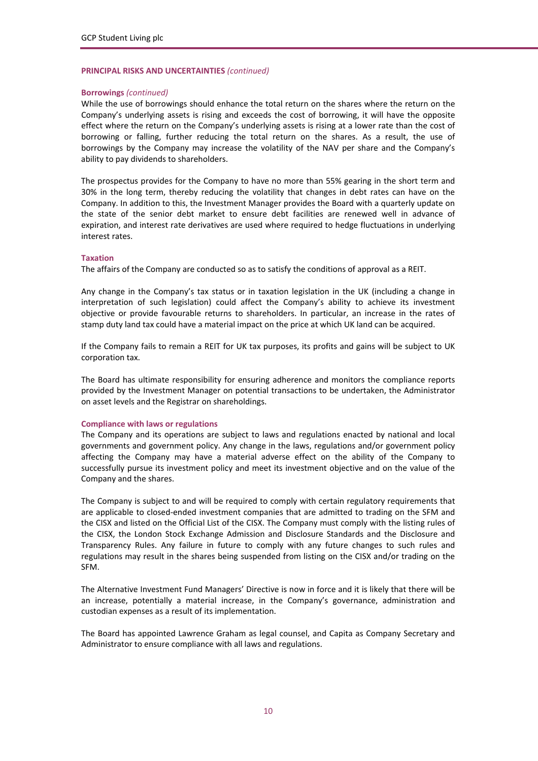# **PRINCIPAL RISKS AND UNCERTAINTIES** *(continued)*

#### **Borrowings** *(continued)*

While the use of borrowings should enhance the total return on the shares where the return on the Company's underlying assets is rising and exceeds the cost of borrowing, it will have the opposite effect where the return on the Company's underlying assets is rising at a lower rate than the cost of borrowing or falling, further reducing the total return on the shares. As a result, the use of borrowings by the Company may increase the volatility of the NAV per share and the Company's ability to pay dividends to shareholders.

The prospectus provides for the Company to have no more than 55% gearing in the short term and 30% in the long term, thereby reducing the volatility that changes in debt rates can have on the Company. In addition to this, the Investment Manager provides the Board with a quarterly update on the state of the senior debt market to ensure debt facilities are renewed well in advance of expiration, and interest rate derivatives are used where required to hedge fluctuations in underlying interest rates.

#### **Taxation**

The affairs of the Company are conducted so as to satisfy the conditions of approval as a REIT.

Any change in the Company's tax status or in taxation legislation in the UK (including a change in interpretation of such legislation) could affect the Company's ability to achieve its investment objective or provide favourable returns to shareholders. In particular, an increase in the rates of stamp duty land tax could have a material impact on the price at which UK land can be acquired.

If the Company fails to remain a REIT for UK tax purposes, its profits and gains will be subject to UK corporation tax.

The Board has ultimate responsibility for ensuring adherence and monitors the compliance reports provided by the Investment Manager on potential transactions to be undertaken, the Administrator on asset levels and the Registrar on shareholdings.

#### **Compliance with laws or regulations**

The Company and its operations are subject to laws and regulations enacted by national and local governments and government policy. Any change in the laws, regulations and/or government policy affecting the Company may have a material adverse effect on the ability of the Company to successfully pursue its investment policy and meet its investment objective and on the value of the Company and the shares.

The Company is subject to and will be required to comply with certain regulatory requirements that are applicable to closed‐ended investment companies that are admitted to trading on the SFM and the CISX and listed on the Official List of the CISX. The Company must comply with the listing rules of the CISX, the London Stock Exchange Admission and Disclosure Standards and the Disclosure and Transparency Rules. Any failure in future to comply with any future changes to such rules and regulations may result in the shares being suspended from listing on the CISX and/or trading on the SFM.

The Alternative Investment Fund Managers' Directive is now in force and it is likely that there will be an increase, potentially a material increase, in the Company's governance, administration and custodian expenses as a result of its implementation.

The Board has appointed Lawrence Graham as legal counsel, and Capita as Company Secretary and Administrator to ensure compliance with all laws and regulations.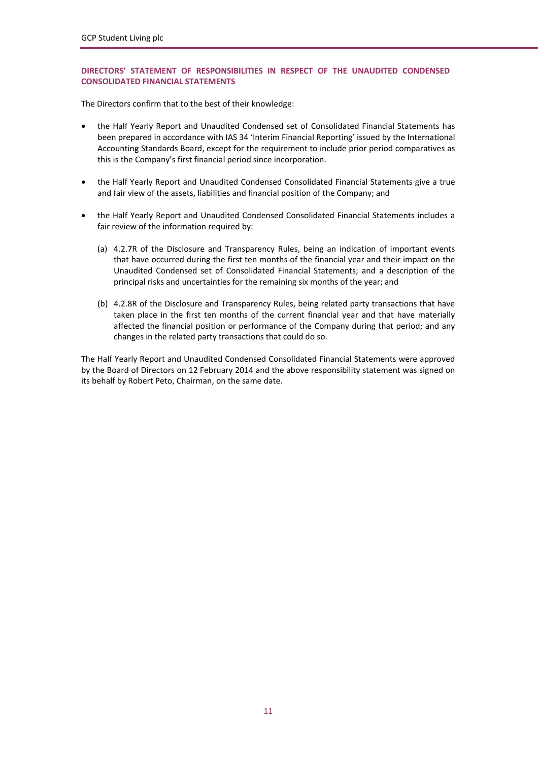# **DIRECTORS' STATEMENT OF RESPONSIBILITIES IN RESPECT OF THE UNAUDITED CONDENSED CONSOLIDATED FINANCIAL STATEMENTS**

The Directors confirm that to the best of their knowledge:

- the Half Yearly Report and Unaudited Condensed set of Consolidated Financial Statements has been prepared in accordance with IAS 34 'Interim Financial Reporting' issued by the International Accounting Standards Board, except for the requirement to include prior period comparatives as this is the Company's first financial period since incorporation.
- the Half Yearly Report and Unaudited Condensed Consolidated Financial Statements give a true and fair view of the assets, liabilities and financial position of the Company; and
- the Half Yearly Report and Unaudited Condensed Consolidated Financial Statements includes a fair review of the information required by:
	- (a) 4.2.7R of the Disclosure and Transparency Rules, being an indication of important events that have occurred during the first ten months of the financial year and their impact on the Unaudited Condensed set of Consolidated Financial Statements; and a description of the principal risks and uncertainties for the remaining six months of the year; and
	- (b) 4.2.8R of the Disclosure and Transparency Rules, being related party transactions that have taken place in the first ten months of the current financial year and that have materially affected the financial position or performance of the Company during that period; and any changes in the related party transactions that could do so.

The Half Yearly Report and Unaudited Condensed Consolidated Financial Statements were approved by the Board of Directors on 12 February 2014 and the above responsibility statement was signed on its behalf by Robert Peto, Chairman, on the same date.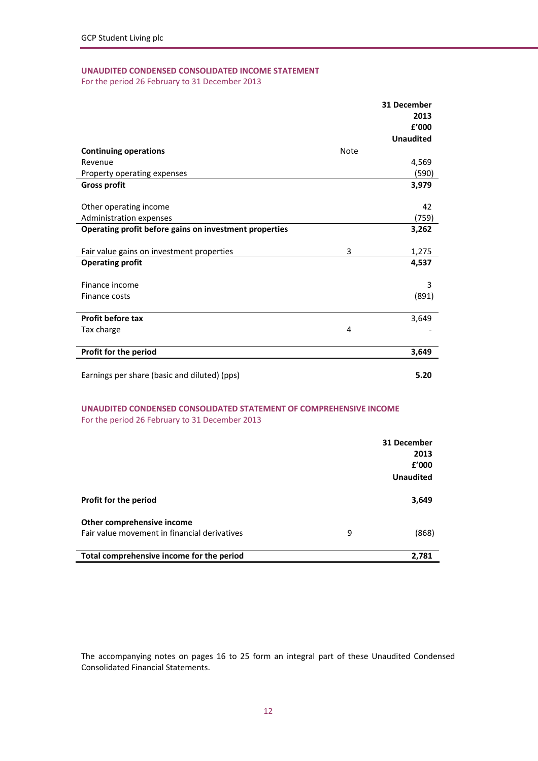# **UNAUDITED CONDENSED CONSOLIDATED INCOME STATEMENT**

For the period 26 February to 31 December 2013

|                                                        |             | 31 December      |
|--------------------------------------------------------|-------------|------------------|
|                                                        |             | 2013             |
|                                                        |             | f'000            |
|                                                        |             | <b>Unaudited</b> |
| <b>Continuing operations</b>                           | <b>Note</b> |                  |
| Revenue                                                |             | 4,569            |
| Property operating expenses                            |             | (590)            |
| <b>Gross profit</b>                                    |             | 3,979            |
| Other operating income                                 |             | 42               |
| Administration expenses                                |             | (759)            |
| Operating profit before gains on investment properties |             | 3,262            |
| Fair value gains on investment properties              | 3           | 1,275            |
| <b>Operating profit</b>                                |             | 4,537            |
| Finance income                                         |             | 3                |
| Finance costs                                          |             | (891)            |
| Profit before tax                                      |             | 3,649            |
| Tax charge                                             | 4           |                  |
| Profit for the period                                  |             | 3,649            |
| Earnings per share (basic and diluted) (pps)           |             | 5.20             |

# **UNAUDITED CONDENSED CONSOLIDATED STATEMENT OF COMPREHENSIVE INCOME** For the period 26 February to 31 December 2013

|                                              |   | 31 December      |
|----------------------------------------------|---|------------------|
|                                              |   | 2013             |
|                                              |   | £'000            |
|                                              |   | <b>Unaudited</b> |
| Profit for the period                        |   | 3,649            |
| Other comprehensive income                   |   |                  |
| Fair value movement in financial derivatives | 9 | (868)            |
| Total comprehensive income for the period    |   | 2,781            |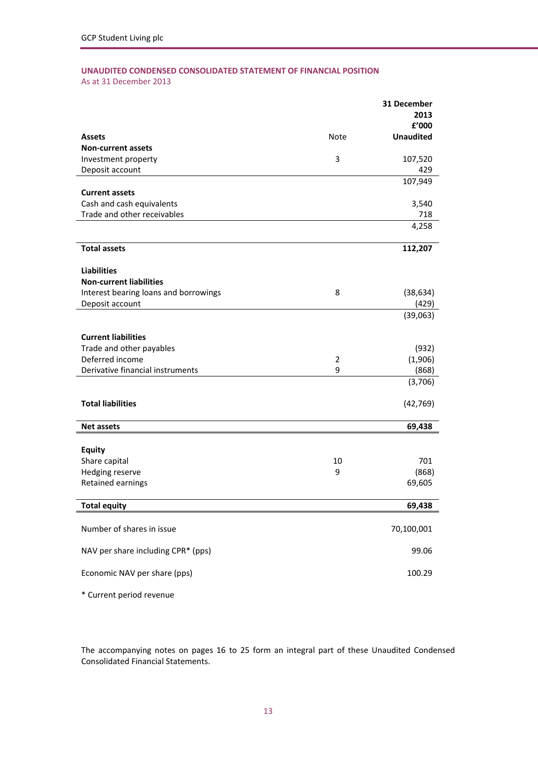# **UNAUDITED CONDENSED CONSOLIDATED STATEMENT OF FINANCIAL POSITION** As at 31 December 2013

|                                       |                | 31 December      |
|---------------------------------------|----------------|------------------|
|                                       |                | 2013             |
|                                       |                | £'000            |
| <b>Assets</b>                         | Note           | <b>Unaudited</b> |
| <b>Non-current assets</b>             |                |                  |
| Investment property                   | 3              | 107,520          |
| Deposit account                       |                | 429              |
|                                       |                | 107,949          |
| <b>Current assets</b>                 |                |                  |
| Cash and cash equivalents             |                | 3,540            |
| Trade and other receivables           |                | 718              |
|                                       |                | 4,258            |
|                                       |                |                  |
| <b>Total assets</b>                   |                | 112,207          |
| <b>Liabilities</b>                    |                |                  |
| <b>Non-current liabilities</b>        |                |                  |
| Interest bearing loans and borrowings | 8              | (38, 634)        |
| Deposit account                       |                | (429)            |
|                                       |                | (39,063)         |
|                                       |                |                  |
| <b>Current liabilities</b>            |                |                  |
| Trade and other payables              |                | (932)            |
| Deferred income                       | $\overline{2}$ | (1,906)          |
| Derivative financial instruments      | 9              | (868)            |
|                                       |                | (3,706)          |
|                                       |                |                  |
| <b>Total liabilities</b>              |                | (42, 769)        |
|                                       |                |                  |
| <b>Net assets</b>                     |                | 69,438           |
|                                       |                |                  |
| <b>Equity</b>                         |                |                  |
| Share capital                         | 10             | 701              |
| Hedging reserve                       | 9              | (868)            |
| Retained earnings                     |                | 69,605           |
| <b>Total equity</b>                   |                | 69,438           |
|                                       |                |                  |
| Number of shares in issue             |                | 70,100,001       |
|                                       |                |                  |
| NAV per share including CPR* (pps)    |                | 99.06            |
|                                       |                |                  |
| Economic NAV per share (pps)          |                | 100.29           |
|                                       |                |                  |
| * Current period revenue              |                |                  |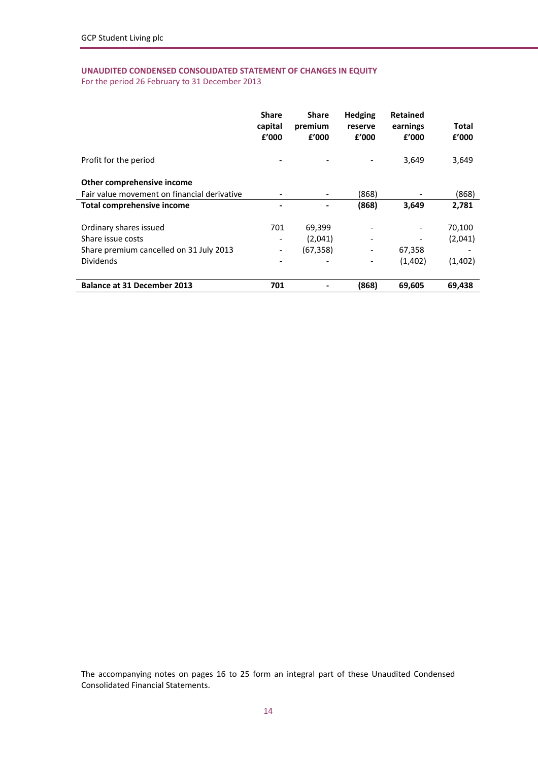# **UNAUDITED CONDENSED CONSOLIDATED STATEMENT OF CHANGES IN EQUITY**

For the period 26 February to 31 December 2013

|                                             | <b>Share</b><br>capital<br>f'000 | <b>Share</b><br>premium<br>f'000 | <b>Hedging</b><br>reserve<br>f'000 | <b>Retained</b><br>earnings<br>f'000 | Total<br>f'000 |
|---------------------------------------------|----------------------------------|----------------------------------|------------------------------------|--------------------------------------|----------------|
| Profit for the period                       |                                  |                                  |                                    | 3,649                                | 3,649          |
| Other comprehensive income                  |                                  |                                  |                                    |                                      |                |
| Fair value movement on financial derivative |                                  |                                  | (868)                              |                                      | (868)          |
| <b>Total comprehensive income</b>           |                                  |                                  | (868)                              | 3,649                                | 2,781          |
| Ordinary shares issued                      | 701                              | 69,399                           |                                    |                                      | 70,100         |
| Share issue costs                           |                                  | (2,041)                          |                                    |                                      | (2,041)        |
| Share premium cancelled on 31 July 2013     |                                  | (67, 358)                        |                                    | 67,358                               |                |
| <b>Dividends</b>                            |                                  |                                  |                                    | (1,402)                              | (1,402)        |
| <b>Balance at 31 December 2013</b>          | 701                              |                                  | (868)                              | 69,605                               | 69,438         |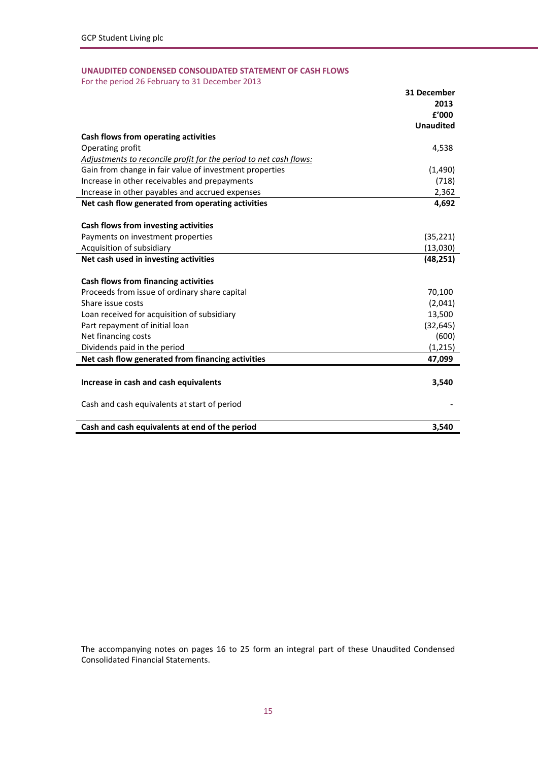# **UNAUDITED CONDENSED CONSOLIDATED STATEMENT OF CASH FLOWS**

For the period 26 February to 31 December 2013

|                                                                   | 31 December      |
|-------------------------------------------------------------------|------------------|
|                                                                   | 2013             |
|                                                                   | f'000            |
|                                                                   | <b>Unaudited</b> |
| Cash flows from operating activities                              |                  |
| Operating profit                                                  | 4,538            |
| Adjustments to reconcile profit for the period to net cash flows: |                  |
| Gain from change in fair value of investment properties           | (1,490)          |
| Increase in other receivables and prepayments                     | (718)            |
| Increase in other payables and accrued expenses                   | 2,362            |
| Net cash flow generated from operating activities                 | 4,692            |
| Cash flows from investing activities                              |                  |
| Payments on investment properties                                 | (35, 221)        |
| Acquisition of subsidiary                                         | (13,030)         |
| Net cash used in investing activities                             | (48, 251)        |
| Cash flows from financing activities                              |                  |
| Proceeds from issue of ordinary share capital                     | 70,100           |
| Share issue costs                                                 | (2,041)          |
| Loan received for acquisition of subsidiary                       | 13,500           |
| Part repayment of initial loan                                    | (32, 645)        |
| Net financing costs                                               | (600)            |
| Dividends paid in the period                                      | (1, 215)         |
| Net cash flow generated from financing activities                 | 47,099           |
| Increase in cash and cash equivalents                             | 3,540            |
| Cash and cash equivalents at start of period                      |                  |
| Cash and cash equivalents at end of the period                    | 3.540            |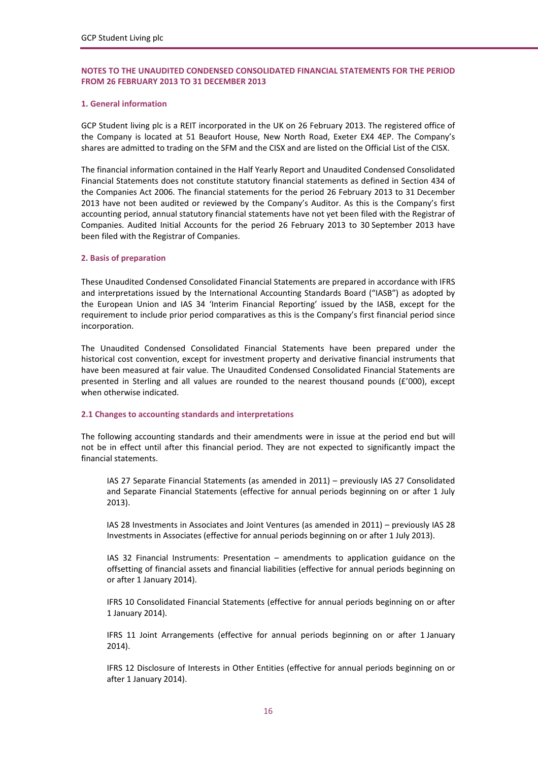#### **1. General information**

GCP Student living plc is a REIT incorporated in the UK on 26 February 2013. The registered office of the Company is located at 51 Beaufort House, New North Road, Exeter EX4 4EP. The Company's shares are admitted to trading on the SFM and the CISX and are listed on the Official List of the CISX.

The financial information contained in the Half Yearly Report and Unaudited Condensed Consolidated Financial Statements does not constitute statutory financial statements as defined in Section 434 of the Companies Act 2006. The financial statements for the period 26 February 2013 to 31 December 2013 have not been audited or reviewed by the Company's Auditor. As this is the Company's first accounting period, annual statutory financial statements have not yet been filed with the Registrar of Companies. Audited Initial Accounts for the period 26 February 2013 to 30 September 2013 have been filed with the Registrar of Companies.

#### **2. Basis of preparation**

These Unaudited Condensed Consolidated Financial Statements are prepared in accordance with IFRS and interpretations issued by the International Accounting Standards Board ("IASB") as adopted by the European Union and IAS 34 'Interim Financial Reporting' issued by the IASB, except for the requirement to include prior period comparatives as this is the Company's first financial period since incorporation.

The Unaudited Condensed Consolidated Financial Statements have been prepared under the historical cost convention, except for investment property and derivative financial instruments that have been measured at fair value. The Unaudited Condensed Consolidated Financial Statements are presented in Sterling and all values are rounded to the nearest thousand pounds (£'000), except when otherwise indicated.

#### **2.1 Changes to accounting standards and interpretations**

The following accounting standards and their amendments were in issue at the period end but will not be in effect until after this financial period. They are not expected to significantly impact the financial statements.

IAS 27 Separate Financial Statements (as amended in 2011) – previously IAS 27 Consolidated and Separate Financial Statements (effective for annual periods beginning on or after 1 July 2013).

IAS 28 Investments in Associates and Joint Ventures (as amended in 2011) – previously IAS 28 Investments in Associates (effective for annual periods beginning on or after 1 July 2013).

IAS 32 Financial Instruments: Presentation – amendments to application guidance on the offsetting of financial assets and financial liabilities (effective for annual periods beginning on or after 1 January 2014).

IFRS 10 Consolidated Financial Statements (effective for annual periods beginning on or after 1 January 2014).

IFRS 11 Joint Arrangements (effective for annual periods beginning on or after 1 January 2014).

IFRS 12 Disclosure of Interests in Other Entities (effective for annual periods beginning on or after 1 January 2014).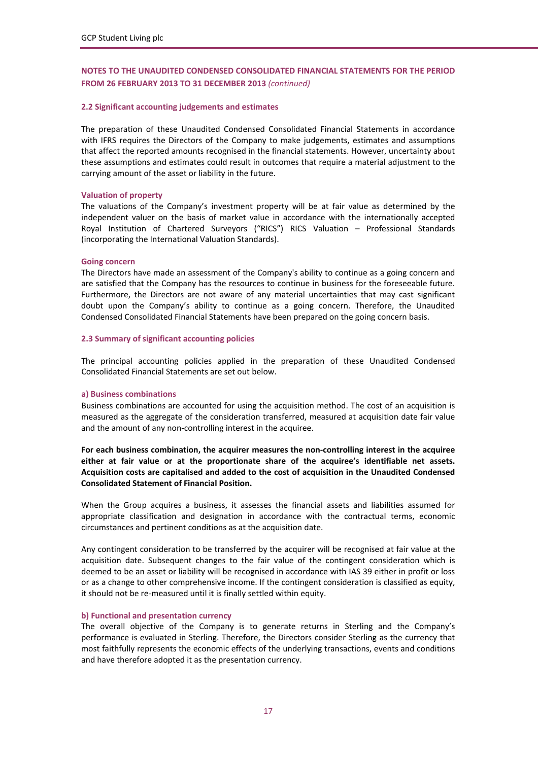#### **2.2 Significant accounting judgements and estimates**

The preparation of these Unaudited Condensed Consolidated Financial Statements in accordance with IFRS requires the Directors of the Company to make judgements, estimates and assumptions that affect the reported amounts recognised in the financial statements. However, uncertainty about these assumptions and estimates could result in outcomes that require a material adjustment to the carrying amount of the asset or liability in the future.

#### **Valuation of property**

The valuations of the Company's investment property will be at fair value as determined by the independent valuer on the basis of market value in accordance with the internationally accepted Royal Institution of Chartered Surveyors ("RICS") RICS Valuation – Professional Standards (incorporating the International Valuation Standards).

#### **Going concern**

The Directors have made an assessment of the Company's ability to continue as a going concern and are satisfied that the Company has the resources to continue in business for the foreseeable future. Furthermore, the Directors are not aware of any material uncertainties that may cast significant doubt upon the Company's ability to continue as a going concern. Therefore, the Unaudited Condensed Consolidated Financial Statements have been prepared on the going concern basis.

#### **2.3 Summary of significant accounting policies**

The principal accounting policies applied in the preparation of these Unaudited Condensed Consolidated Financial Statements are set out below.

#### **a) Business combinations**

Business combinations are accounted for using the acquisition method. The cost of an acquisition is measured as the aggregate of the consideration transferred, measured at acquisition date fair value and the amount of any non‐controlling interest in the acquiree.

**For each business combination, the acquirer measures the non‐controlling interest in the acquiree either at fair value or at the proportionate share of the acquiree's identifiable net assets. Acquisition costs are capitalised and added to the cost of acquisition in the Unaudited Condensed Consolidated Statement of Financial Position.**

When the Group acquires a business, it assesses the financial assets and liabilities assumed for appropriate classification and designation in accordance with the contractual terms, economic circumstances and pertinent conditions as at the acquisition date.

Any contingent consideration to be transferred by the acquirer will be recognised at fair value at the acquisition date. Subsequent changes to the fair value of the contingent consideration which is deemed to be an asset or liability will be recognised in accordance with IAS 39 either in profit or loss or as a change to other comprehensive income. If the contingent consideration is classified as equity, it should not be re‐measured until it is finally settled within equity.

#### **b) Functional and presentation currency**

The overall objective of the Company is to generate returns in Sterling and the Company's performance is evaluated in Sterling. Therefore, the Directors consider Sterling as the currency that most faithfully represents the economic effects of the underlying transactions, events and conditions and have therefore adopted it as the presentation currency.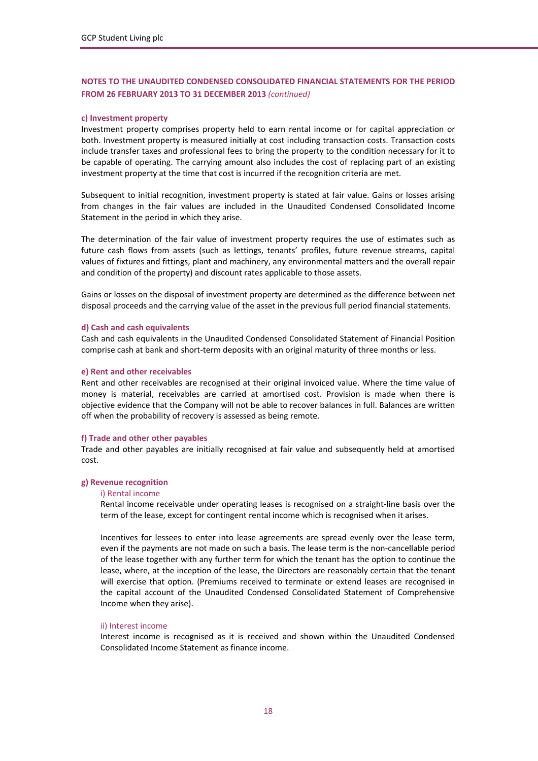#### **c) Investment property**

Investment property comprises property held to earn rental income or for capital appreciation or both. Investment property is measured initially at cost including transaction costs. Transaction costs include transfer taxes and professional fees to bring the property to the condition necessary for it to be capable of operating. The carrying amount also includes the cost of replacing part of an existing investment property at the time that cost is incurred if the recognition criteria are met.

Subsequent to initial recognition, investment property is stated at fair value. Gains or losses arising from changes in the fair values are included in the Unaudited Condensed Consolidated Income Statement in the period in which they arise.

The determination of the fair value of investment property requires the use of estimates such as future cash flows from assets (such as lettings, tenants' profiles, future revenue streams, capital values of fixtures and fittings, plant and machinery, any environmental matters and the overall repair and condition of the property) and discount rates applicable to those assets.

Gains or losses on the disposal of investment property are determined as the difference between net disposal proceeds and the carrying value of the asset in the previous full period financial statements.

#### **d) Cash and cash equivalents**

Cash and cash equivalents in the Unaudited Condensed Consolidated Statement of Financial Position comprise cash at bank and short‐term deposits with an original maturity of three months or less.

#### **e) Rent and other receivables**

Rent and other receivables are recognised at their original invoiced value. Where the time value of money is material, receivables are carried at amortised cost. Provision is made when there is objective evidence that the Company will not be able to recover balances in full. Balances are written off when the probability of recovery is assessed as being remote.

#### **f) Trade and other other payables**

Trade and other payables are initially recognised at fair value and subsequently held at amortised cost.

#### **g) Revenue recognition**

#### i) Rental income

Rental income receivable under operating leases is recognised on a straight‐line basis over the term of the lease, except for contingent rental income which is recognised when it arises.

Incentives for lessees to enter into lease agreements are spread evenly over the lease term, even if the payments are not made on such a basis. The lease term is the non-cancellable period of the lease together with any further term for which the tenant has the option to continue the lease, where, at the inception of the lease, the Directors are reasonably certain that the tenant will exercise that option. (Premiums received to terminate or extend leases are recognised in the capital account of the Unaudited Condensed Consolidated Statement of Comprehensive Income when they arise).

#### ii) Interest income

Interest income is recognised as it is received and shown within the Unaudited Condensed Consolidated Income Statement as finance income.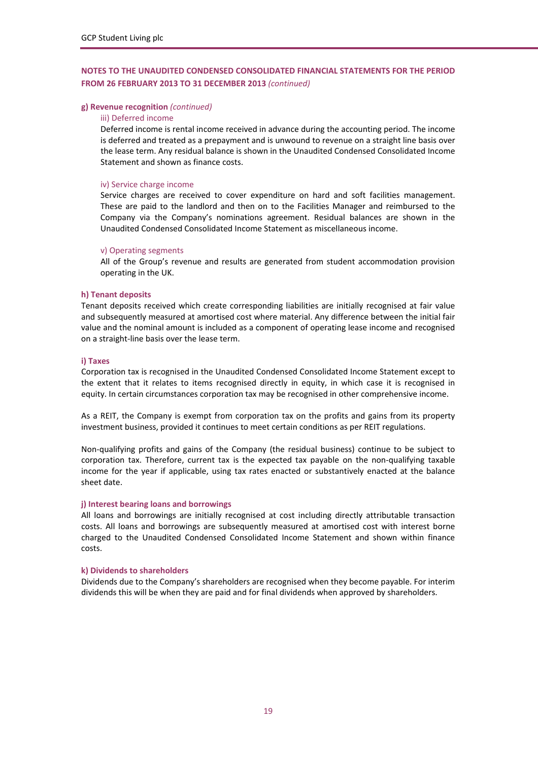#### **g) Revenue recognition** *(continued)*

#### iii) Deferred income

Deferred income is rental income received in advance during the accounting period. The income is deferred and treated as a prepayment and is unwound to revenue on a straight line basis over the lease term. Any residual balance is shown in the Unaudited Condensed Consolidated Income Statement and shown as finance costs.

#### iv) Service charge income

Service charges are received to cover expenditure on hard and soft facilities management. These are paid to the landlord and then on to the Facilities Manager and reimbursed to the Company via the Company's nominations agreement. Residual balances are shown in the Unaudited Condensed Consolidated Income Statement as miscellaneous income.

#### v) Operating segments

All of the Group's revenue and results are generated from student accommodation provision operating in the UK.

#### **h) Tenant deposits**

Tenant deposits received which create corresponding liabilities are initially recognised at fair value and subsequently measured at amortised cost where material. Any difference between the initial fair value and the nominal amount is included as a component of operating lease income and recognised on a straight‐line basis over the lease term.

#### **i) Taxes**

Corporation tax is recognised in the Unaudited Condensed Consolidated Income Statement except to the extent that it relates to items recognised directly in equity, in which case it is recognised in equity. In certain circumstances corporation tax may be recognised in other comprehensive income.

As a REIT, the Company is exempt from corporation tax on the profits and gains from its property investment business, provided it continues to meet certain conditions as per REIT regulations.

Non‐qualifying profits and gains of the Company (the residual business) continue to be subject to corporation tax. Therefore, current tax is the expected tax payable on the non-qualifying taxable income for the year if applicable, using tax rates enacted or substantively enacted at the balance sheet date.

#### **j) Interest bearing loans and borrowings**

All loans and borrowings are initially recognised at cost including directly attributable transaction costs. All loans and borrowings are subsequently measured at amortised cost with interest borne charged to the Unaudited Condensed Consolidated Income Statement and shown within finance costs.

#### **k) Dividends to shareholders**

Dividends due to the Company's shareholders are recognised when they become payable. For interim dividends this will be when they are paid and for final dividends when approved by shareholders.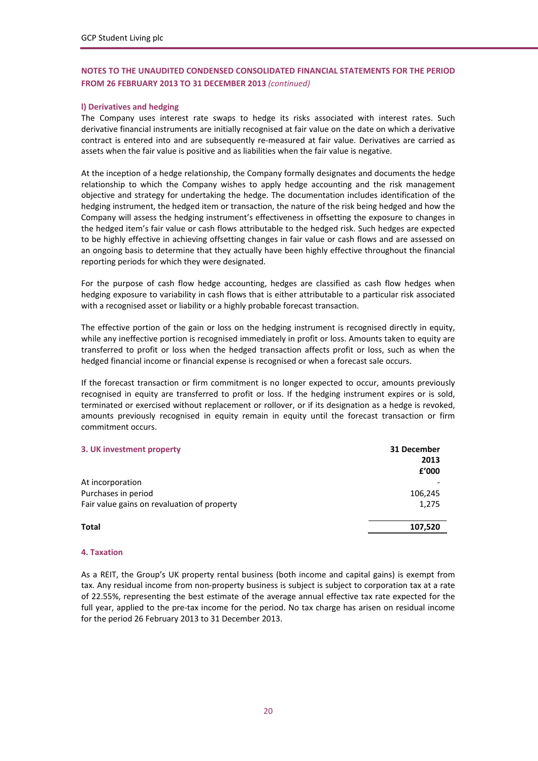# **l) Derivatives and hedging**

The Company uses interest rate swaps to hedge its risks associated with interest rates. Such derivative financial instruments are initially recognised at fair value on the date on which a derivative contract is entered into and are subsequently re-measured at fair value. Derivatives are carried as assets when the fair value is positive and as liabilities when the fair value is negative.

At the inception of a hedge relationship, the Company formally designates and documents the hedge relationship to which the Company wishes to apply hedge accounting and the risk management objective and strategy for undertaking the hedge. The documentation includes identification of the hedging instrument, the hedged item or transaction, the nature of the risk being hedged and how the Company will assess the hedging instrument's effectiveness in offsetting the exposure to changes in the hedged item's fair value or cash flows attributable to the hedged risk. Such hedges are expected to be highly effective in achieving offsetting changes in fair value or cash flows and are assessed on an ongoing basis to determine that they actually have been highly effective throughout the financial reporting periods for which they were designated.

For the purpose of cash flow hedge accounting, hedges are classified as cash flow hedges when hedging exposure to variability in cash flows that is either attributable to a particular risk associated with a recognised asset or liability or a highly probable forecast transaction.

The effective portion of the gain or loss on the hedging instrument is recognised directly in equity, while any ineffective portion is recognised immediately in profit or loss. Amounts taken to equity are transferred to profit or loss when the hedged transaction affects profit or loss, such as when the hedged financial income or financial expense is recognised or when a forecast sale occurs.

If the forecast transaction or firm commitment is no longer expected to occur, amounts previously recognised in equity are transferred to profit or loss. If the hedging instrument expires or is sold, terminated or exercised without replacement or rollover, or if its designation as a hedge is revoked, amounts previously recognised in equity remain in equity until the forecast transaction or firm commitment occurs.

| 31 December |
|-------------|
| 2013        |
| f'000       |
|             |
| 106,245     |
| 1,275       |
| 107,520     |
|             |

#### **4. Taxation**

As a REIT, the Group's UK property rental business (both income and capital gains) is exempt from tax. Any residual income from non-property business is subject is subject to corporation tax at a rate of 22.55%, representing the best estimate of the average annual effective tax rate expected for the full year, applied to the pre-tax income for the period. No tax charge has arisen on residual income for the period 26 February 2013 to 31 December 2013.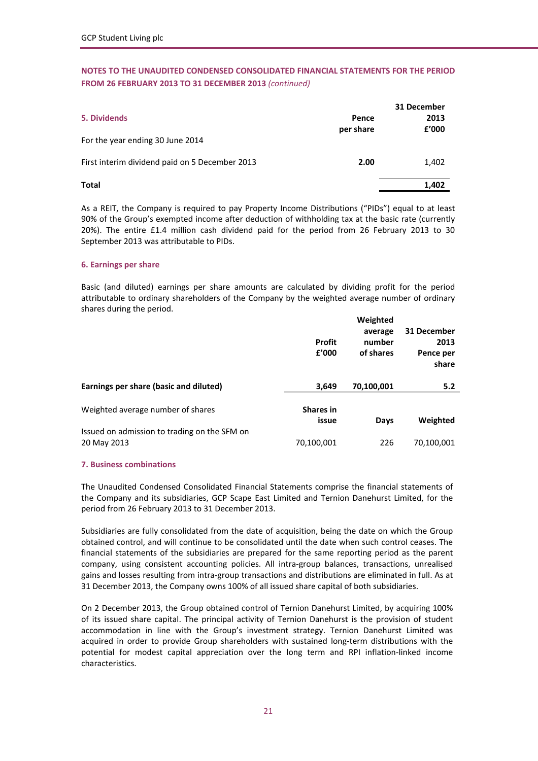| 5. Dividends<br>For the year ending 30 June 2014 | Pence<br>per share | 31 December<br>2013<br>f'000 |
|--------------------------------------------------|--------------------|------------------------------|
| First interim dividend paid on 5 December 2013   | 2.00               | 1,402                        |
| <b>Total</b>                                     |                    | 1,402                        |

As a REIT, the Company is required to pay Property Income Distributions ("PIDs") equal to at least 90% of the Group's exempted income after deduction of withholding tax at the basic rate (currently 20%). The entire £1.4 million cash dividend paid for the period from 26 February 2013 to 30 September 2013 was attributable to PIDs.

### **6. Earnings per share**

Basic (and diluted) earnings per share amounts are calculated by dividing profit for the period attributable to ordinary shareholders of the Company by the weighted average number of ordinary shares during the period.

|                                                             | <b>Profit</b><br>£'000    | Weighted<br>average<br>number<br>of shares | 31 December<br>2013<br>Pence per<br>share |
|-------------------------------------------------------------|---------------------------|--------------------------------------------|-------------------------------------------|
| Earnings per share (basic and diluted)                      | 3,649                     | 70,100,001                                 | 5.2                                       |
| Weighted average number of shares                           | <b>Shares in</b><br>issue | Days                                       | Weighted                                  |
| Issued on admission to trading on the SFM on<br>20 May 2013 | 70,100,001                | 226                                        | 70,100,001                                |

#### **7. Business combinations**

The Unaudited Condensed Consolidated Financial Statements comprise the financial statements of the Company and its subsidiaries, GCP Scape East Limited and Ternion Danehurst Limited, for the period from 26 February 2013 to 31 December 2013.

Subsidiaries are fully consolidated from the date of acquisition, being the date on which the Group obtained control, and will continue to be consolidated until the date when such control ceases. The financial statements of the subsidiaries are prepared for the same reporting period as the parent company, using consistent accounting policies. All intra-group balances, transactions, unrealised gains and losses resulting from intra‐group transactions and distributions are eliminated in full. As at 31 December 2013, the Company owns 100% of all issued share capital of both subsidiaries.

On 2 December 2013, the Group obtained control of Ternion Danehurst Limited, by acquiring 100% of its issued share capital. The principal activity of Ternion Danehurst is the provision of student accommodation in line with the Group's investment strategy. Ternion Danehurst Limited was acquired in order to provide Group shareholders with sustained long‐term distributions with the potential for modest capital appreciation over the long term and RPI inflation‐linked income characteristics.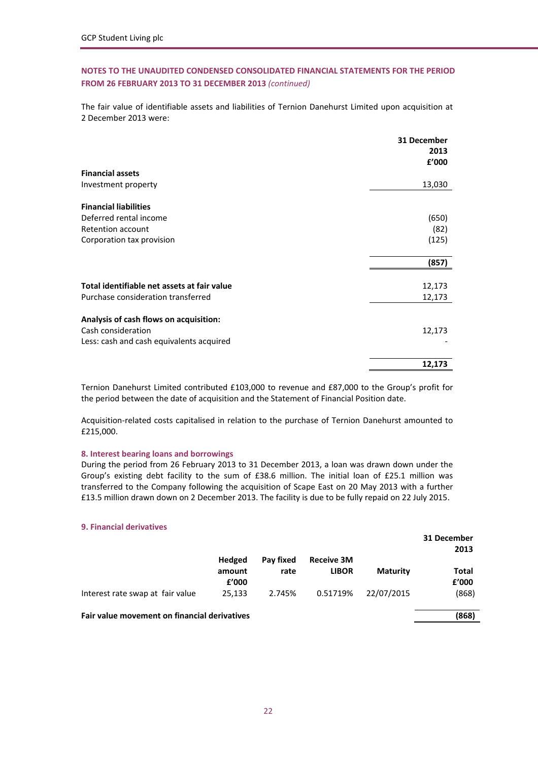The fair value of identifiable assets and liabilities of Ternion Danehurst Limited upon acquisition at 2 December 2013 were:

|                                             | 31 December<br>2013 |
|---------------------------------------------|---------------------|
|                                             | £'000               |
| <b>Financial assets</b>                     |                     |
| Investment property                         | 13,030              |
| <b>Financial liabilities</b>                |                     |
| Deferred rental income                      | (650)               |
| Retention account                           | (82)                |
| Corporation tax provision                   | (125)               |
|                                             | (857)               |
|                                             |                     |
| Total identifiable net assets at fair value | 12,173              |
| Purchase consideration transferred          | 12,173              |
| Analysis of cash flows on acquisition:      |                     |
| Cash consideration                          | 12,173              |
| Less: cash and cash equivalents acquired    |                     |
|                                             | 12,173              |

Ternion Danehurst Limited contributed £103,000 to revenue and £87,000 to the Group's profit for the period between the date of acquisition and the Statement of Financial Position date.

Acquisition‐related costs capitalised in relation to the purchase of Ternion Danehurst amounted to £215,000.

#### **8. Interest bearing loans and borrowings**

During the period from 26 February 2013 to 31 December 2013, a loan was drawn down under the Group's existing debt facility to the sum of £38.6 million. The initial loan of £25.1 million was transferred to the Company following the acquisition of Scape East on 20 May 2013 with a further £13.5 million drawn down on 2 December 2013. The facility is due to be fully repaid on 22 July 2015.

#### **9. Financial derivatives**

|                                              |                                  |                   |                                   |                 | 31 December<br>2013 |
|----------------------------------------------|----------------------------------|-------------------|-----------------------------------|-----------------|---------------------|
|                                              | <b>Hedged</b><br>amount<br>f'000 | Pay fixed<br>rate | <b>Receive 3M</b><br><b>LIBOR</b> | <b>Maturity</b> | Total<br>f'000      |
| Interest rate swap at fair value             | 25.133                           | 2.745%            | 0.51719%                          | 22/07/2015      | (868)               |
| Fair value movement on financial derivatives |                                  |                   |                                   |                 | (868)               |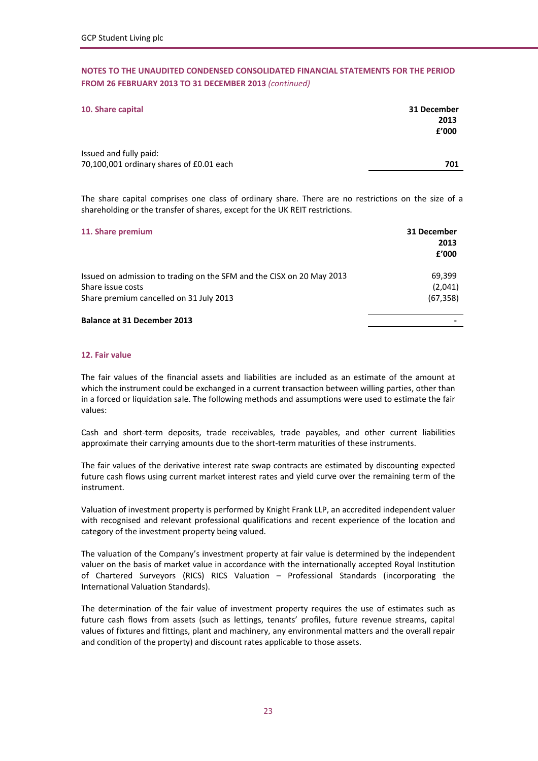| 10. Share capital                        | 31 December |
|------------------------------------------|-------------|
|                                          | 2013        |
|                                          | £'000       |
|                                          |             |
| Issued and fully paid:                   |             |
| 70,100,001 ordinary shares of £0.01 each | 701         |

The share capital comprises one class of ordinary share. There are no restrictions on the size of a shareholding or the transfer of shares, except for the UK REIT restrictions.

| 11. Share premium                                                                          | 31 December<br>2013<br>£'000 |
|--------------------------------------------------------------------------------------------|------------------------------|
| Issued on admission to trading on the SFM and the CISX on 20 May 2013<br>Share issue costs | 69.399                       |
| Share premium cancelled on 31 July 2013                                                    | (2,041)<br>(67, 358)         |
| <b>Balance at 31 December 2013</b>                                                         |                              |

### **12. Fair value**

The fair values of the financial assets and liabilities are included as an estimate of the amount at which the instrument could be exchanged in a current transaction between willing parties, other than in a forced or liquidation sale. The following methods and assumptions were used to estimate the fair values:

Cash and short‐term deposits, trade receivables, trade payables, and other current liabilities approximate their carrying amounts due to the short‐term maturities of these instruments.

The fair values of the derivative interest rate swap contracts are estimated by discounting expected future cash flows using current market interest rates and yield curve over the remaining term of the instrument.

Valuation of investment property is performed by Knight Frank LLP, an accredited independent valuer with recognised and relevant professional qualifications and recent experience of the location and category of the investment property being valued.

The valuation of the Company's investment property at fair value is determined by the independent valuer on the basis of market value in accordance with the internationally accepted Royal Institution of Chartered Surveyors (RICS) RICS Valuation – Professional Standards (incorporating the International Valuation Standards).

The determination of the fair value of investment property requires the use of estimates such as future cash flows from assets (such as lettings, tenants' profiles, future revenue streams, capital values of fixtures and fittings, plant and machinery, any environmental matters and the overall repair and condition of the property) and discount rates applicable to those assets.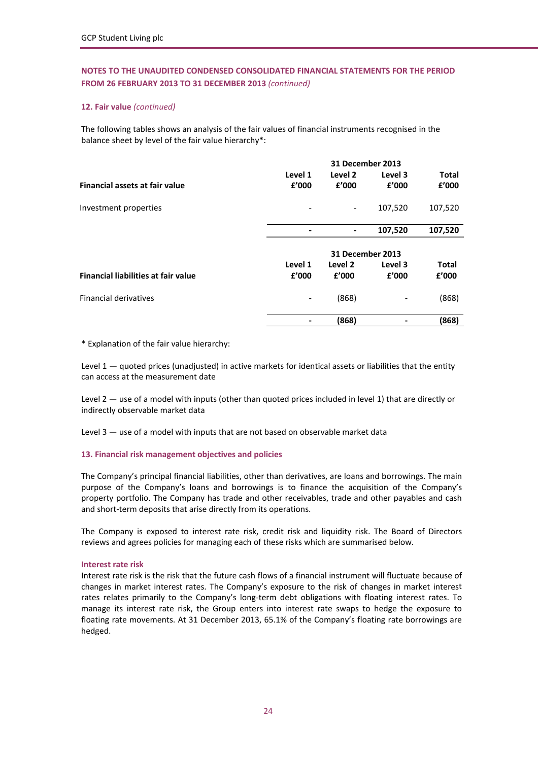# **12. Fair value** *(continued)*

The following tables shows an analysis of the fair values of financial instruments recognised in the balance sheet by level of the fair value hierarchy\*:

| Level 1<br>Level 2<br>Level 3                                         | Total        |
|-----------------------------------------------------------------------|--------------|
| £'000<br><b>Financial assets at fair value</b><br>£'000<br>f'000      | £'000        |
| 107,520<br>Investment properties<br>$\qquad \qquad \blacksquare$      | 107,520      |
| 107,520<br>-                                                          | 107,520      |
| 31 December 2013                                                      |              |
| Level 1<br>Level 2<br>Level 3                                         | <b>Total</b> |
| <b>Financial liabilities at fair value</b><br>f'000<br>f'000<br>£'000 | f'000        |
| <b>Financial derivatives</b><br>(868)                                 | (868)        |
| (868)                                                                 | (868)        |

\* Explanation of the fair value hierarchy:

Level  $1 -$  quoted prices (unadjusted) in active markets for identical assets or liabilities that the entity can access at the measurement date

Level 2 — use of a model with inputs (other than quoted prices included in level 1) that are directly or indirectly observable market data

Level 3 — use of a model with inputs that are not based on observable market data

# **13. Financial risk management objectives and policies**

The Company's principal financial liabilities, other than derivatives, are loans and borrowings. The main purpose of the Company's loans and borrowings is to finance the acquisition of the Company's property portfolio. The Company has trade and other receivables, trade and other payables and cash and short-term deposits that arise directly from its operations.

The Company is exposed to interest rate risk, credit risk and liquidity risk. The Board of Directors reviews and agrees policies for managing each of these risks which are summarised below.

# **Interest rate risk**

Interest rate risk is the risk that the future cash flows of a financial instrument will fluctuate because of changes in market interest rates. The Company's exposure to the risk of changes in market interest rates relates primarily to the Company's long-term debt obligations with floating interest rates. To manage its interest rate risk, the Group enters into interest rate swaps to hedge the exposure to floating rate movements. At 31 December 2013, 65.1% of the Company's floating rate borrowings are hedged.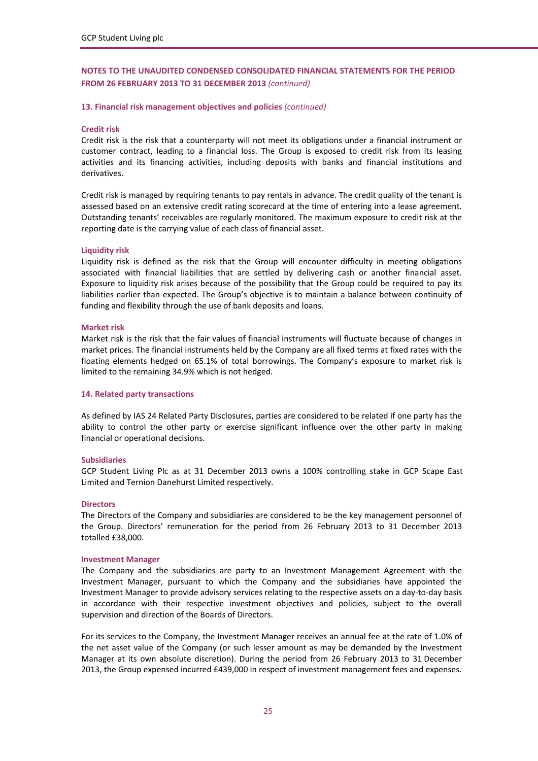#### **13. Financial risk management objectives and policies** *(continued)*

#### **Credit risk**

Credit risk is the risk that a counterparty will not meet its obligations under a financial instrument or customer contract, leading to a financial loss. The Group is exposed to credit risk from its leasing activities and its financing activities, including deposits with banks and financial institutions and derivatives.

Credit risk is managed by requiring tenants to pay rentals in advance. The credit quality of the tenant is assessed based on an extensive credit rating scorecard at the time of entering into a lease agreement. Outstanding tenants' receivables are regularly monitored. The maximum exposure to credit risk at the reporting date is the carrying value of each class of financial asset.

#### **Liquidity risk**

Liquidity risk is defined as the risk that the Group will encounter difficulty in meeting obligations associated with financial liabilities that are settled by delivering cash or another financial asset. Exposure to liquidity risk arises because of the possibility that the Group could be required to pay its liabilities earlier than expected. The Group's objective is to maintain a balance between continuity of funding and flexibility through the use of bank deposits and loans.

#### **Market risk**

Market risk is the risk that the fair values of financial instruments will fluctuate because of changes in market prices. The financial instruments held by the Company are all fixed terms at fixed rates with the floating elements hedged on 65.1% of total borrowings. The Company's exposure to market risk is limited to the remaining 34.9% which is not hedged.

#### **14. Related party transactions**

As defined by IAS 24 Related Party Disclosures, parties are considered to be related if one party has the ability to control the other party or exercise significant influence over the other party in making financial or operational decisions.

#### **Subsidiaries**

GCP Student Living Plc as at 31 December 2013 owns a 100% controlling stake in GCP Scape East Limited and Ternion Danehurst Limited respectively.

#### **Directors**

The Directors of the Company and subsidiaries are considered to be the key management personnel of the Group. Directors' remuneration for the period from 26 February 2013 to 31 December 2013 totalled £38,000.

#### **Investment Manager**

The Company and the subsidiaries are party to an Investment Management Agreement with the Investment Manager, pursuant to which the Company and the subsidiaries have appointed the Investment Manager to provide advisory services relating to the respective assets on a day-to-day basis in accordance with their respective investment objectives and policies, subject to the overall supervision and direction of the Boards of Directors.

For its services to the Company, the Investment Manager receives an annual fee at the rate of 1.0% of the net asset value of the Company (or such lesser amount as may be demanded by the Investment Manager at its own absolute discretion). During the period from 26 February 2013 to 31 December 2013, the Group expensed incurred £439,000 in respect of investment management fees and expenses.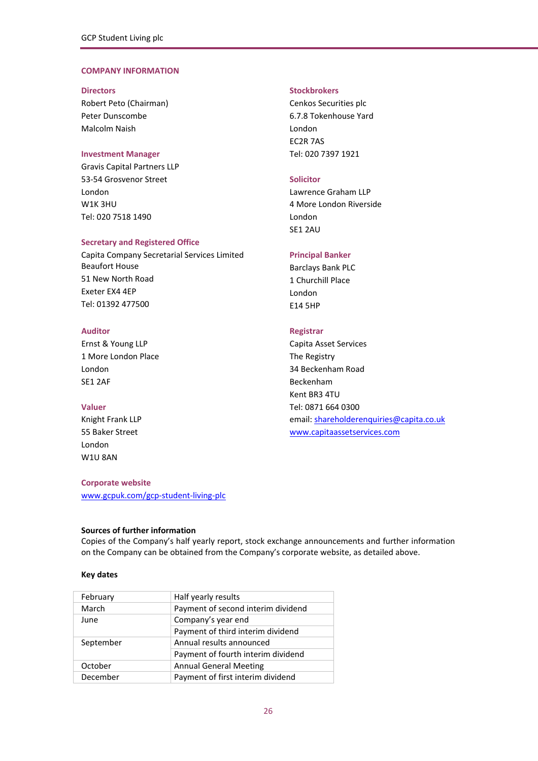# **COMPANY INFORMATION**

Robert Peto (Chairman) Cenkos Securities plc Peter Dunscombe 6.7.8 Tokenhouse Yard Malcolm Naish London

Gravis Capital Partners LLP 53‐54 Grosvenor Street **Solicitor** London Lawrence Graham LLP W1K 3HU 4 More London Riverside Tel: 020 7518 1490 London

#### **Secretary and Registered Office**

Capita Company Secretarial Services Limited **Principal Banker** Beaufort House **Bank PLC** Barclays Bank PLC 51 New North Road 1 Churchill Place Exeter EX4 4EP London Tel: 01392 477500 E14 5HP

Ernst & Young LLP Capita Asset Services 1 More London Place The Registry London 34 Beckenham Road SE1 2AF Beckenham

London W1U 8AN

# **Corporate website**

[www.gcpuk.com/gcp](http://www.gcpuk.com/gcp-student-living-plc)‐student‐living‐plc

#### **Sources of further information**

# Copies of the Company's half yearly report, stock exchange announcements and further information on the Company can be obtained from the Company's corporate website, as detailed above.

#### **Key dates**

| February  | Half yearly results                |
|-----------|------------------------------------|
| March     | Payment of second interim dividend |
| June      | Company's year end                 |
|           | Payment of third interim dividend  |
| September | Annual results announced           |
|           | Payment of fourth interim dividend |
| October   | <b>Annual General Meeting</b>      |
| December  | Payment of first interim dividend  |
|           |                                    |

#### **Directors Stockbrokers**

EC2R 7AS **Investment Manager** Tel: 020 7397 1921

SE1 2AU

# **Auditor Registrar**

Kent BR3 4TU **Valuer** Tel: 0871 664 0300 Knight Frank LLP **Annual Example 2018** Controller Engine and School email: **[shareholderenquiries@capita.co.uk](mailto:ssd@capitaregistrars.com)** 55 Baker Street [www.capitaassetservices.com](http://www.capitaregistrars.com/)